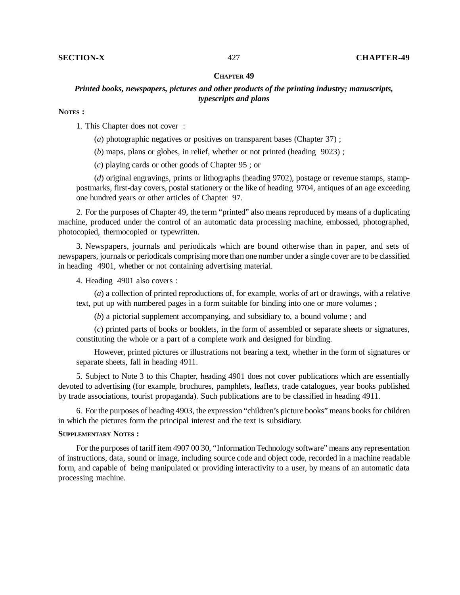## **CHAPTER 49**

## *Printed books, newspapers, pictures and other products of the printing industry; manuscripts, typescripts and plans*

## **NOTES :**

1. This Chapter does not cover :

(*a*) photographic negatives or positives on transparent bases (Chapter 37) ;

(*b*) maps, plans or globes, in relief, whether or not printed (heading 9023) ;

(*c*) playing cards or other goods of Chapter 95 ; or

(*d*) original engravings, prints or lithographs (heading 9702), postage or revenue stamps, stamppostmarks, first-day covers, postal stationery or the like of heading 9704, antiques of an age exceeding one hundred years or other articles of Chapter 97.

2. For the purposes of Chapter 49, the term "printed" also means reproduced by means of a duplicating machine, produced under the control of an automatic data processing machine, embossed, photographed, photocopied, thermocopied or typewritten.

3. Newspapers, journals and periodicals which are bound otherwise than in paper, and sets of newspapers, journals or periodicals comprising more than one number under a single cover are to be classified in heading 4901, whether or not containing advertising material.

4. Heading 4901 also covers :

(*a*) a collection of printed reproductions of, for example, works of art or drawings, with a relative text, put up with numbered pages in a form suitable for binding into one or more volumes ;

(*b*) a pictorial supplement accompanying, and subsidiary to, a bound volume ; and

(*c*) printed parts of books or booklets, in the form of assembled or separate sheets or signatures, constituting the whole or a part of a complete work and designed for binding.

However, printed pictures or illustrations not bearing a text, whether in the form of signatures or separate sheets, fall in heading 4911.

5. Subject to Note 3 to this Chapter, heading 4901 does not cover publications which are essentially devoted to advertising (for example, brochures, pamphlets, leaflets, trade catalogues, year books published by trade associations, tourist propaganda). Such publications are to be classified in heading 4911.

6. For the purposes of heading 4903, the expression "children's picture books" means books for children in which the pictures form the principal interest and the text is subsidiary.

## **SUPPLEMENTARY NOTES :**

For the purposes of tariff item 4907 00 30, "Information Technology software" means any representation of instructions, data, sound or image, including source code and object code, recorded in a machine readable form, and capable of being manipulated or providing interactivity to a user, by means of an automatic data processing machine.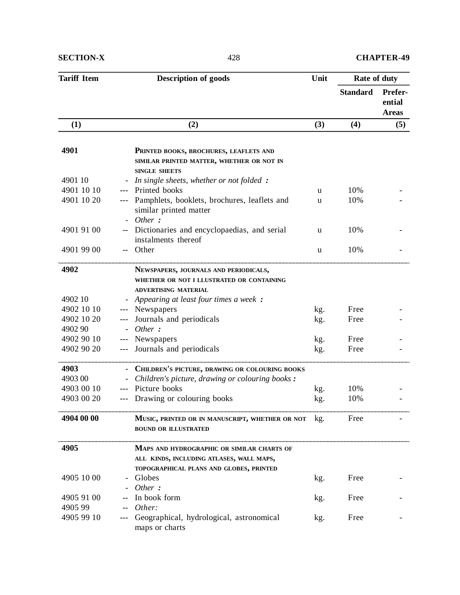| <b>Tariff Item</b> | <b>Description of goods</b><br>Unit                                                                         |     | Rate of duty    |                                   |
|--------------------|-------------------------------------------------------------------------------------------------------------|-----|-----------------|-----------------------------------|
|                    |                                                                                                             |     | <b>Standard</b> | Prefer-<br>ential<br><b>Areas</b> |
| (1)                | (2)                                                                                                         | (3) | (4)             | (5)                               |
|                    |                                                                                                             |     |                 |                                   |
| 4901               | PRINTED BOOKS, BROCHURES, LEAFLETS AND<br>SIMILAR PRINTED MATTER, WHETHER OR NOT IN<br><b>SINGLE SHEETS</b> |     |                 |                                   |
| 4901 10            | In single sheets, whether or not folded :<br>$\overline{a}$                                                 |     |                 |                                   |
| 4901 10 10         | Printed books<br>$---$                                                                                      | u   | 10%             |                                   |
| 4901 10 20         | Pamphlets, booklets, brochures, leaflets and<br>similar printed matter<br>Other:                            | u   | 10%             |                                   |
| 4901 91 00         | Dictionaries and encyclopaedias, and serial<br>$-$<br>instalments thereof                                   | u   | 10%             |                                   |
| 4901 99 00         | Other<br>$-$                                                                                                | u   | 10%             |                                   |
| 4902               | NEWSPAPERS, JOURNALS AND PERIODICALS,<br>WHETHER OR NOT I LLUSTRATED OR CONTAINING                          |     |                 |                                   |
|                    | <b>ADVERTISING MATERIAL</b>                                                                                 |     |                 |                                   |
| 4902 10            | Appearing at least four times a week :                                                                      |     |                 |                                   |
| 4902 10 10         | Newspapers                                                                                                  | kg. | Free            |                                   |
| 4902 10 20         | Journals and periodicals                                                                                    | kg. | Free            |                                   |
| 4902 90            | Other:                                                                                                      |     |                 |                                   |
| 4902 90 10         | Newspapers<br>$---$                                                                                         | kg. | Free            |                                   |
| 4902 90 20         | Journals and periodicals                                                                                    | kg. | Free            |                                   |
| 4903               | CHILDREN'S PICTURE, DRAWING OR COLOURING BOOKS                                                              |     |                 |                                   |
| 4903 00            | Children's picture, drawing or colouring books :                                                            |     |                 |                                   |
| 4903 00 10         | Picture books                                                                                               | kg. | 10%             |                                   |
| 4903 00 20         | Drawing or colouring books                                                                                  | kg. | 10%             |                                   |
|                    |                                                                                                             |     |                 |                                   |
| 4904 00 00         | MUSIC, PRINTED OR IN MANUSCRIPT, WHETHER OR NOT<br><b>BOUND OR ILLUSTRATED</b>                              | kg. | Free            |                                   |
| 4905               | MAPS AND HYDROGRAPHIC OR SIMILAR CHARTS OF<br>ALL KINDS, INCLUDING ATLASES, WALL MAPS,                      |     |                 |                                   |
|                    | TOPOGRAPHICAL PLANS AND GLOBES, PRINTED                                                                     |     |                 |                                   |
| 4905 10 00         | Globes<br>Other:                                                                                            | kg. | Free            |                                   |
| 4905 91 00         | In book form                                                                                                | kg. | Free            |                                   |
| 4905 99            | Other:                                                                                                      |     |                 |                                   |
| 4905 99 10         | Geographical, hydrological, astronomical                                                                    |     | Free            |                                   |
|                    | maps or charts                                                                                              | kg. |                 |                                   |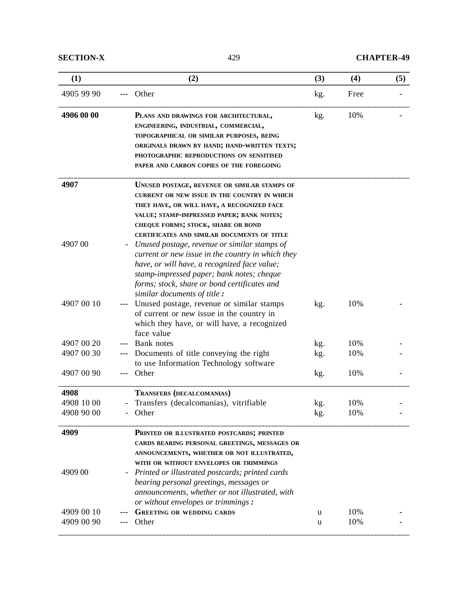| (1)        | (2)                                                                                                                                                                                                                                                                                 | (3) | (4)  | (5) |
|------------|-------------------------------------------------------------------------------------------------------------------------------------------------------------------------------------------------------------------------------------------------------------------------------------|-----|------|-----|
| 4905 99 90 | Other                                                                                                                                                                                                                                                                               | kg. | Free |     |
| 4906 00 00 | PLANS AND DRAWINGS FOR ARCHITECTURAL,<br>ENGINEERING, INDUSTRIAL, COMMERCIAL,<br>TOPOGRAPHICAL OR SIMILAR PURPOSES, BEING<br>ORIGINALS DRAWN BY HAND; HAND-WRITTEN TEXTS;<br>PHOTOGRAPHIC REPRODUCTIONS ON SENSITISED<br>PAPER AND CARBON COPIES OF THE FOREGOING                   | kg. | 10%  |     |
| 4907       | UNUSED POSTAGE, REVENUE OR SIMILAR STAMPS OF<br><b>CURRENT OR NEW ISSUE IN THE COUNTRY IN WHICH</b><br>THEY HAVE, OR WILL HAVE, A RECOGNIZED FACE<br>VALUE; STAMP-IMPRESSED PAPER; BANK NOTES;<br>CHEQUE FORMS; STOCK, SHARE OR BOND<br>CERTIFICATES AND SIMILAR DOCUMENTS OF TITLE |     |      |     |
| 4907 00    | Unused postage, revenue or similar stamps of<br>current or new issue in the country in which they<br>have, or will have, a recognized face value;<br>stamp-impressed paper; bank notes; cheque<br>forms; stock, share or bond certificates and<br>similar documents of title:       |     |      |     |
| 4907 00 10 | Unused postage, revenue or similar stamps<br>of current or new issue in the country in<br>which they have, or will have, a recognized<br>face value                                                                                                                                 | kg. | 10%  |     |
| 4907 00 20 | Bank notes                                                                                                                                                                                                                                                                          | kg. | 10%  |     |
| 4907 00 30 | Documents of title conveying the right<br>to use Information Technology software                                                                                                                                                                                                    | kg. | 10%  |     |
| 4907 00 90 | Other                                                                                                                                                                                                                                                                               | kg. | 10%  |     |
| 4908       | TRANSFERS (DECALCOMANIAS)                                                                                                                                                                                                                                                           |     |      |     |
| 4908 10 00 | Transfers (decalcomanias), vitrifiable                                                                                                                                                                                                                                              | kg. | 10%  |     |
| 4908 90 00 | Other                                                                                                                                                                                                                                                                               | kg. | 10%  |     |
| 4909       | PRINTED OR ILLUSTRATED POSTCARDS; PRINTED<br>CARDS BEARING PERSONAL GREETINGS, MESSAGES OR<br>ANNOUNCEMENTS, WHETHER OR NOT ILLUSTRATED,<br>WITH OR WITHOUT ENVELOPES OR TRIMMINGS                                                                                                  |     |      |     |
| 4909 00    | Printed or illustrated postcards; printed cards<br>bearing personal greetings, messages or<br>announcements, whether or not illustrated, with<br>or without envelopes or trimmings:                                                                                                 |     |      |     |
| 4909 00 10 | <b>GREETING OR WEDDING CARDS</b>                                                                                                                                                                                                                                                    | u   | 10%  |     |
| 4909 00 90 | Other                                                                                                                                                                                                                                                                               | u   | 10%  |     |